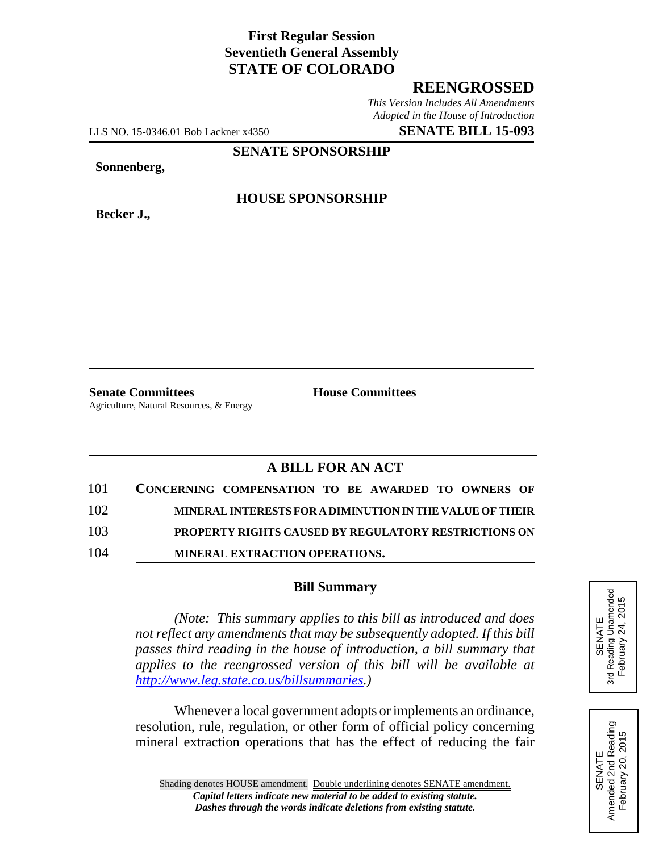# **First Regular Session Seventieth General Assembly STATE OF COLORADO**

# **REENGROSSED**

*This Version Includes All Amendments Adopted in the House of Introduction*

LLS NO. 15-0346.01 Bob Lackner x4350 **SENATE BILL 15-093**

### **SENATE SPONSORSHIP**

**Sonnenberg,**

**Becker J.,**

### **HOUSE SPONSORSHIP**

**Senate Committees House Committees** Agriculture, Natural Resources, & Energy

# **A BILL FOR AN ACT**

| 101 | CONCERNING COMPENSATION TO BE AWARDED TO OWNERS OF          |
|-----|-------------------------------------------------------------|
| 102 | MINERAL INTERESTS FOR A DIMINUTION IN THE VALUE OF THEIR    |
| 103 | <b>PROPERTY RIGHTS CAUSED BY REGULATORY RESTRICTIONS ON</b> |
| 104 | <b>MINERAL EXTRACTION OPERATIONS.</b>                       |

#### **Bill Summary**

*(Note: This summary applies to this bill as introduced and does not reflect any amendments that may be subsequently adopted. If this bill passes third reading in the house of introduction, a bill summary that applies to the reengrossed version of this bill will be available at http://www.leg.state.co.us/billsummaries.)*

Whenever a local government adopts or implements an ordinance, resolution, rule, regulation, or other form of official policy concerning mineral extraction operations that has the effect of reducing the fair



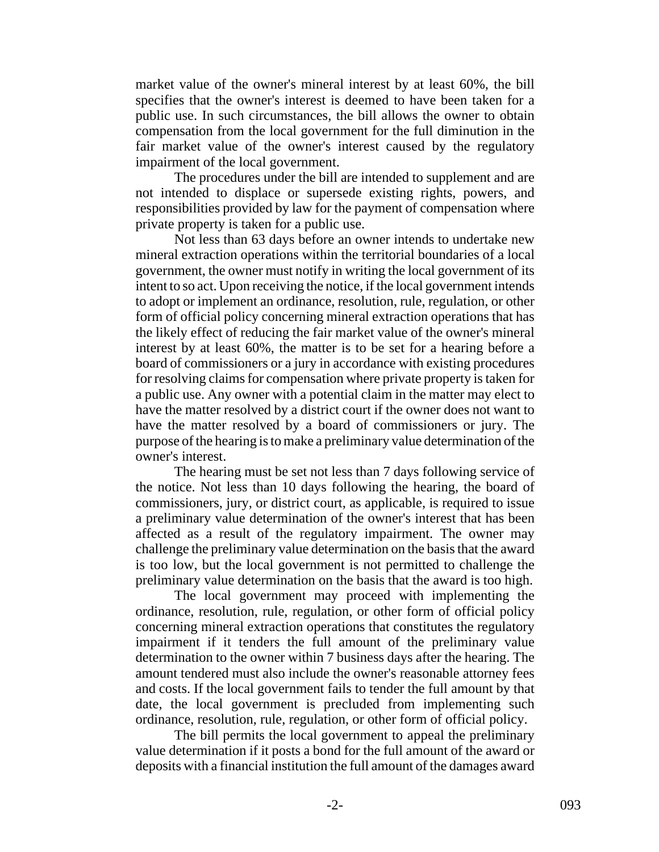market value of the owner's mineral interest by at least 60%, the bill specifies that the owner's interest is deemed to have been taken for a public use. In such circumstances, the bill allows the owner to obtain compensation from the local government for the full diminution in the fair market value of the owner's interest caused by the regulatory impairment of the local government.

The procedures under the bill are intended to supplement and are not intended to displace or supersede existing rights, powers, and responsibilities provided by law for the payment of compensation where private property is taken for a public use.

Not less than 63 days before an owner intends to undertake new mineral extraction operations within the territorial boundaries of a local government, the owner must notify in writing the local government of its intent to so act. Upon receiving the notice, if the local government intends to adopt or implement an ordinance, resolution, rule, regulation, or other form of official policy concerning mineral extraction operations that has the likely effect of reducing the fair market value of the owner's mineral interest by at least 60%, the matter is to be set for a hearing before a board of commissioners or a jury in accordance with existing procedures for resolving claims for compensation where private property is taken for a public use. Any owner with a potential claim in the matter may elect to have the matter resolved by a district court if the owner does not want to have the matter resolved by a board of commissioners or jury. The purpose of the hearing is to make a preliminary value determination of the owner's interest.

The hearing must be set not less than 7 days following service of the notice. Not less than 10 days following the hearing, the board of commissioners, jury, or district court, as applicable, is required to issue a preliminary value determination of the owner's interest that has been affected as a result of the regulatory impairment. The owner may challenge the preliminary value determination on the basis that the award is too low, but the local government is not permitted to challenge the preliminary value determination on the basis that the award is too high.

The local government may proceed with implementing the ordinance, resolution, rule, regulation, or other form of official policy concerning mineral extraction operations that constitutes the regulatory impairment if it tenders the full amount of the preliminary value determination to the owner within 7 business days after the hearing. The amount tendered must also include the owner's reasonable attorney fees and costs. If the local government fails to tender the full amount by that date, the local government is precluded from implementing such ordinance, resolution, rule, regulation, or other form of official policy.

The bill permits the local government to appeal the preliminary value determination if it posts a bond for the full amount of the award or deposits with a financial institution the full amount of the damages award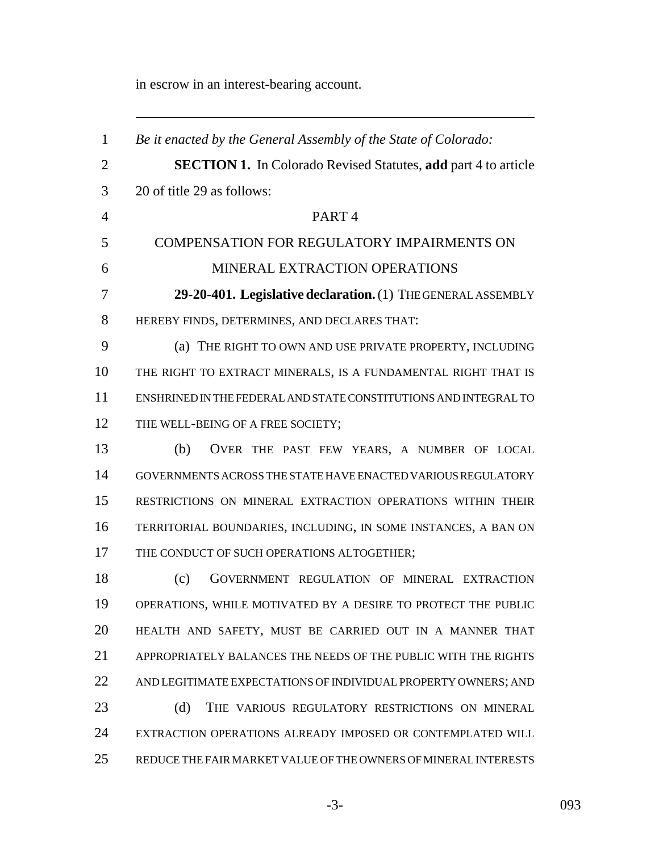in escrow in an interest-bearing account.

 *Be it enacted by the General Assembly of the State of Colorado:* **SECTION 1.** In Colorado Revised Statutes, **add** part 4 to article 20 of title 29 as follows: PART 4 COMPENSATION FOR REGULATORY IMPAIRMENTS ON MINERAL EXTRACTION OPERATIONS **29-20-401. Legislative declaration.** (1) THE GENERAL ASSEMBLY HEREBY FINDS, DETERMINES, AND DECLARES THAT: (a) THE RIGHT TO OWN AND USE PRIVATE PROPERTY, INCLUDING THE RIGHT TO EXTRACT MINERALS, IS A FUNDAMENTAL RIGHT THAT IS ENSHRINED IN THE FEDERAL AND STATE CONSTITUTIONS AND INTEGRAL TO 12 THE WELL-BEING OF A FREE SOCIETY: (b) OVER THE PAST FEW YEARS, A NUMBER OF LOCAL GOVERNMENTS ACROSS THE STATE HAVE ENACTED VARIOUS REGULATORY RESTRICTIONS ON MINERAL EXTRACTION OPERATIONS WITHIN THEIR TERRITORIAL BOUNDARIES, INCLUDING, IN SOME INSTANCES, A BAN ON 17 THE CONDUCT OF SUCH OPERATIONS ALTOGETHER; (c) GOVERNMENT REGULATION OF MINERAL EXTRACTION OPERATIONS, WHILE MOTIVATED BY A DESIRE TO PROTECT THE PUBLIC HEALTH AND SAFETY, MUST BE CARRIED OUT IN A MANNER THAT APPROPRIATELY BALANCES THE NEEDS OF THE PUBLIC WITH THE RIGHTS AND LEGITIMATE EXPECTATIONS OF INDIVIDUAL PROPERTY OWNERS; AND (d) THE VARIOUS REGULATORY RESTRICTIONS ON MINERAL EXTRACTION OPERATIONS ALREADY IMPOSED OR CONTEMPLATED WILL REDUCE THE FAIR MARKET VALUE OF THE OWNERS OF MINERAL INTERESTS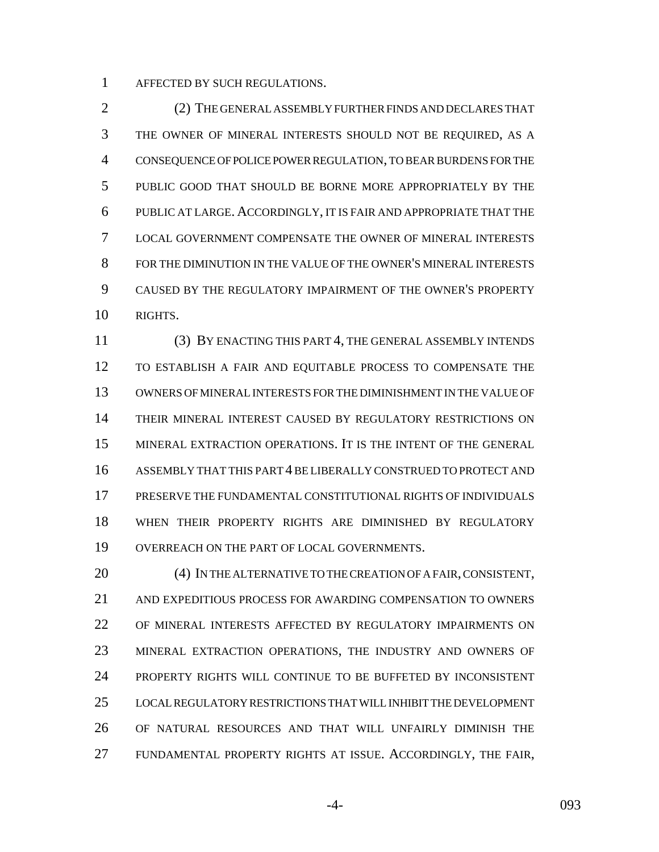AFFECTED BY SUCH REGULATIONS.

 (2) THE GENERAL ASSEMBLY FURTHER FINDS AND DECLARES THAT THE OWNER OF MINERAL INTERESTS SHOULD NOT BE REQUIRED, AS A CONSEQUENCE OF POLICE POWER REGULATION, TO BEAR BURDENS FOR THE PUBLIC GOOD THAT SHOULD BE BORNE MORE APPROPRIATELY BY THE PUBLIC AT LARGE. ACCORDINGLY, IT IS FAIR AND APPROPRIATE THAT THE LOCAL GOVERNMENT COMPENSATE THE OWNER OF MINERAL INTERESTS FOR THE DIMINUTION IN THE VALUE OF THE OWNER'S MINERAL INTERESTS CAUSED BY THE REGULATORY IMPAIRMENT OF THE OWNER'S PROPERTY RIGHTS.

 (3) BY ENACTING THIS PART 4, THE GENERAL ASSEMBLY INTENDS TO ESTABLISH A FAIR AND EQUITABLE PROCESS TO COMPENSATE THE OWNERS OF MINERAL INTERESTS FOR THE DIMINISHMENT IN THE VALUE OF THEIR MINERAL INTEREST CAUSED BY REGULATORY RESTRICTIONS ON MINERAL EXTRACTION OPERATIONS. IT IS THE INTENT OF THE GENERAL ASSEMBLY THAT THIS PART 4 BE LIBERALLY CONSTRUED TO PROTECT AND PRESERVE THE FUNDAMENTAL CONSTITUTIONAL RIGHTS OF INDIVIDUALS WHEN THEIR PROPERTY RIGHTS ARE DIMINISHED BY REGULATORY OVERREACH ON THE PART OF LOCAL GOVERNMENTS.

 (4) IN THE ALTERNATIVE TO THE CREATION OF A FAIR, CONSISTENT, AND EXPEDITIOUS PROCESS FOR AWARDING COMPENSATION TO OWNERS OF MINERAL INTERESTS AFFECTED BY REGULATORY IMPAIRMENTS ON MINERAL EXTRACTION OPERATIONS, THE INDUSTRY AND OWNERS OF PROPERTY RIGHTS WILL CONTINUE TO BE BUFFETED BY INCONSISTENT LOCAL REGULATORY RESTRICTIONS THAT WILL INHIBIT THE DEVELOPMENT OF NATURAL RESOURCES AND THAT WILL UNFAIRLY DIMINISH THE FUNDAMENTAL PROPERTY RIGHTS AT ISSUE. ACCORDINGLY, THE FAIR,

-4- 093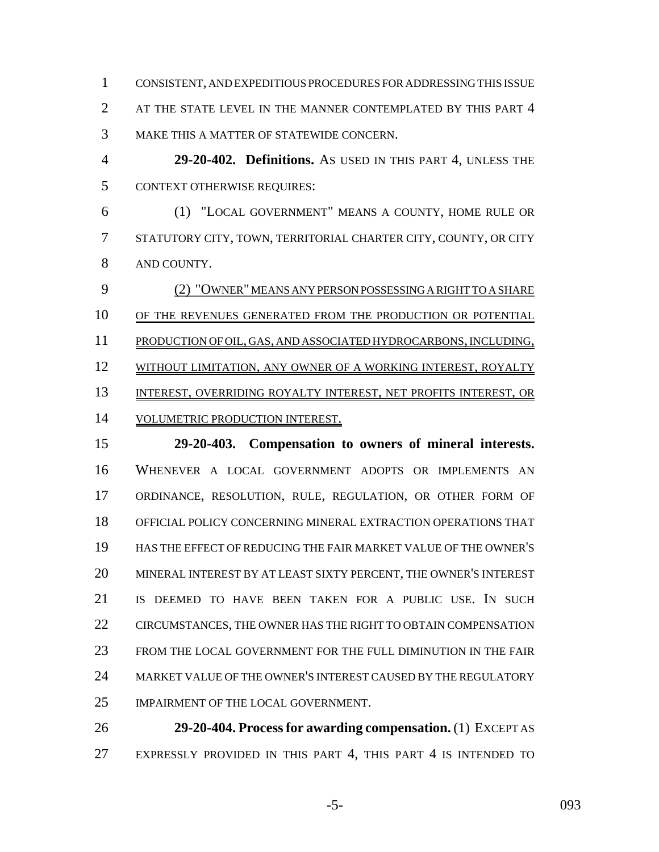CONSISTENT, AND EXPEDITIOUS PROCEDURES FOR ADDRESSING THIS ISSUE 2 AT THE STATE LEVEL IN THE MANNER CONTEMPLATED BY THIS PART 4 MAKE THIS A MATTER OF STATEWIDE CONCERN.

 **29-20-402. Definitions.** AS USED IN THIS PART 4, UNLESS THE CONTEXT OTHERWISE REQUIRES:

 (1) "LOCAL GOVERNMENT" MEANS A COUNTY, HOME RULE OR STATUTORY CITY, TOWN, TERRITORIAL CHARTER CITY, COUNTY, OR CITY AND COUNTY.

 (2) "OWNER" MEANS ANY PERSON POSSESSING A RIGHT TO A SHARE OF THE REVENUES GENERATED FROM THE PRODUCTION OR POTENTIAL PRODUCTION OF OIL, GAS, AND ASSOCIATED HYDROCARBONS, INCLUDING, 12 WITHOUT LIMITATION, ANY OWNER OF A WORKING INTEREST, ROYALTY INTEREST, OVERRIDING ROYALTY INTEREST, NET PROFITS INTEREST, OR VOLUMETRIC PRODUCTION INTEREST.

 **29-20-403. Compensation to owners of mineral interests.** WHENEVER A LOCAL GOVERNMENT ADOPTS OR IMPLEMENTS AN ORDINANCE, RESOLUTION, RULE, REGULATION, OR OTHER FORM OF OFFICIAL POLICY CONCERNING MINERAL EXTRACTION OPERATIONS THAT HAS THE EFFECT OF REDUCING THE FAIR MARKET VALUE OF THE OWNER'S MINERAL INTEREST BY AT LEAST SIXTY PERCENT, THE OWNER'S INTEREST IS DEEMED TO HAVE BEEN TAKEN FOR A PUBLIC USE. IN SUCH CIRCUMSTANCES, THE OWNER HAS THE RIGHT TO OBTAIN COMPENSATION FROM THE LOCAL GOVERNMENT FOR THE FULL DIMINUTION IN THE FAIR MARKET VALUE OF THE OWNER'S INTEREST CAUSED BY THE REGULATORY IMPAIRMENT OF THE LOCAL GOVERNMENT.

 **29-20-404. Process for awarding compensation.** (1) EXCEPT AS 27 EXPRESSLY PROVIDED IN THIS PART 4, THIS PART 4 IS INTENDED TO

-5- 093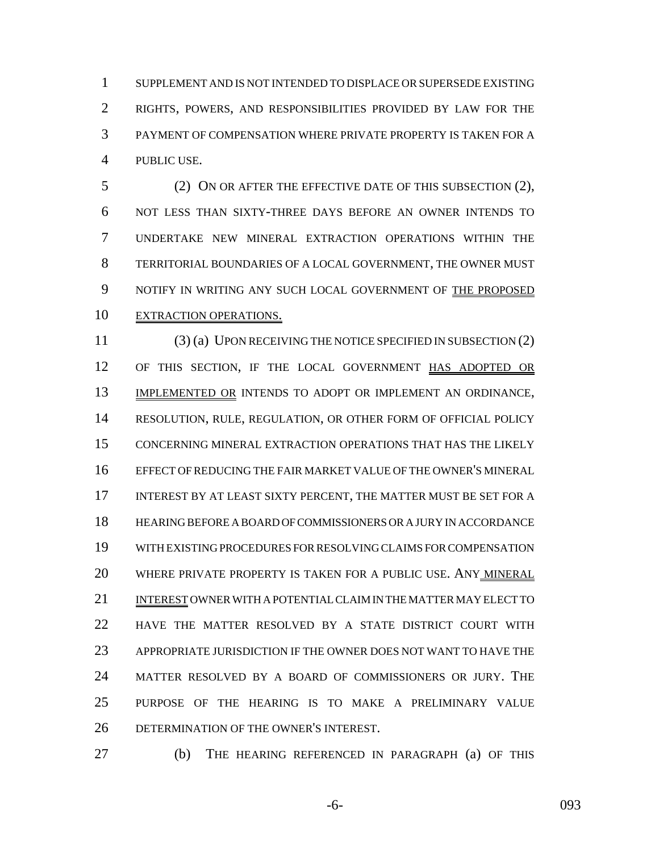SUPPLEMENT AND IS NOT INTENDED TO DISPLACE OR SUPERSEDE EXISTING RIGHTS, POWERS, AND RESPONSIBILITIES PROVIDED BY LAW FOR THE PAYMENT OF COMPENSATION WHERE PRIVATE PROPERTY IS TAKEN FOR A PUBLIC USE.

 (2) ON OR AFTER THE EFFECTIVE DATE OF THIS SUBSECTION (2), NOT LESS THAN SIXTY-THREE DAYS BEFORE AN OWNER INTENDS TO UNDERTAKE NEW MINERAL EXTRACTION OPERATIONS WITHIN THE TERRITORIAL BOUNDARIES OF A LOCAL GOVERNMENT, THE OWNER MUST NOTIFY IN WRITING ANY SUCH LOCAL GOVERNMENT OF THE PROPOSED EXTRACTION OPERATIONS.

 (3) (a) UPON RECEIVING THE NOTICE SPECIFIED IN SUBSECTION (2) OF THIS SECTION, IF THE LOCAL GOVERNMENT HAS ADOPTED OR IMPLEMENTED OR INTENDS TO ADOPT OR IMPLEMENT AN ORDINANCE, RESOLUTION, RULE, REGULATION, OR OTHER FORM OF OFFICIAL POLICY CONCERNING MINERAL EXTRACTION OPERATIONS THAT HAS THE LIKELY EFFECT OF REDUCING THE FAIR MARKET VALUE OF THE OWNER'S MINERAL INTEREST BY AT LEAST SIXTY PERCENT, THE MATTER MUST BE SET FOR A HEARING BEFORE A BOARD OF COMMISSIONERS OR A JURY IN ACCORDANCE WITH EXISTING PROCEDURES FOR RESOLVING CLAIMS FOR COMPENSATION WHERE PRIVATE PROPERTY IS TAKEN FOR A PUBLIC USE. ANY MINERAL INTEREST OWNER WITH A POTENTIAL CLAIM IN THE MATTER MAY ELECT TO HAVE THE MATTER RESOLVED BY A STATE DISTRICT COURT WITH APPROPRIATE JURISDICTION IF THE OWNER DOES NOT WANT TO HAVE THE MATTER RESOLVED BY A BOARD OF COMMISSIONERS OR JURY. THE PURPOSE OF THE HEARING IS TO MAKE A PRELIMINARY VALUE DETERMINATION OF THE OWNER'S INTEREST.

(b) THE HEARING REFERENCED IN PARAGRAPH (a) OF THIS

-6- 093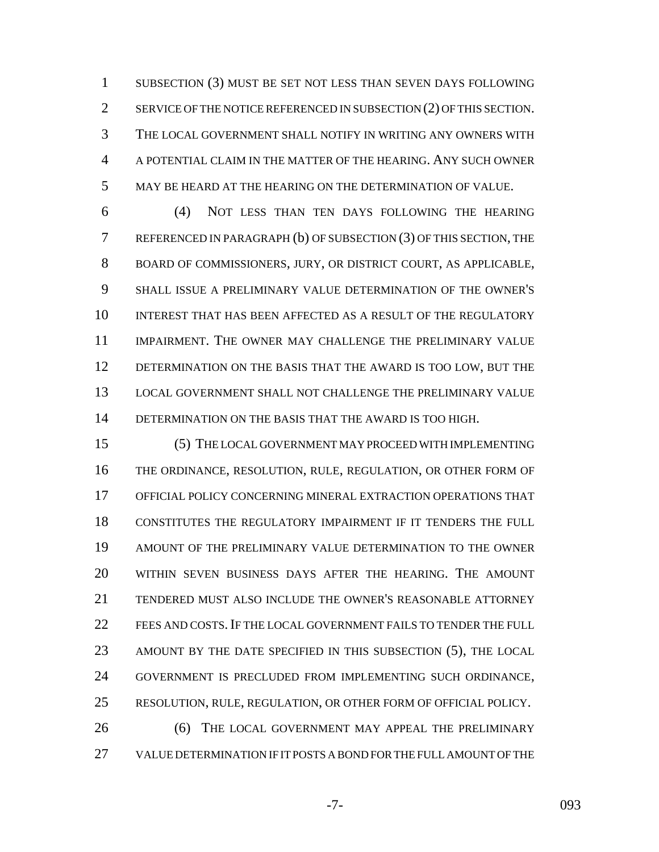SUBSECTION (3) MUST BE SET NOT LESS THAN SEVEN DAYS FOLLOWING 2 SERVICE OF THE NOTICE REFERENCED IN SUBSECTION (2) OF THIS SECTION. THE LOCAL GOVERNMENT SHALL NOTIFY IN WRITING ANY OWNERS WITH A POTENTIAL CLAIM IN THE MATTER OF THE HEARING. ANY SUCH OWNER MAY BE HEARD AT THE HEARING ON THE DETERMINATION OF VALUE.

 (4) NOT LESS THAN TEN DAYS FOLLOWING THE HEARING REFERENCED IN PARAGRAPH (b) OF SUBSECTION (3) OF THIS SECTION, THE BOARD OF COMMISSIONERS, JURY, OR DISTRICT COURT, AS APPLICABLE, SHALL ISSUE A PRELIMINARY VALUE DETERMINATION OF THE OWNER'S INTEREST THAT HAS BEEN AFFECTED AS A RESULT OF THE REGULATORY IMPAIRMENT. THE OWNER MAY CHALLENGE THE PRELIMINARY VALUE DETERMINATION ON THE BASIS THAT THE AWARD IS TOO LOW, BUT THE LOCAL GOVERNMENT SHALL NOT CHALLENGE THE PRELIMINARY VALUE DETERMINATION ON THE BASIS THAT THE AWARD IS TOO HIGH.

 (5) THE LOCAL GOVERNMENT MAY PROCEED WITH IMPLEMENTING THE ORDINANCE, RESOLUTION, RULE, REGULATION, OR OTHER FORM OF OFFICIAL POLICY CONCERNING MINERAL EXTRACTION OPERATIONS THAT CONSTITUTES THE REGULATORY IMPAIRMENT IF IT TENDERS THE FULL AMOUNT OF THE PRELIMINARY VALUE DETERMINATION TO THE OWNER WITHIN SEVEN BUSINESS DAYS AFTER THE HEARING. THE AMOUNT TENDERED MUST ALSO INCLUDE THE OWNER'S REASONABLE ATTORNEY 22 FEES AND COSTS. IF THE LOCAL GOVERNMENT FAILS TO TENDER THE FULL AMOUNT BY THE DATE SPECIFIED IN THIS SUBSECTION (5), THE LOCAL GOVERNMENT IS PRECLUDED FROM IMPLEMENTING SUCH ORDINANCE, RESOLUTION, RULE, REGULATION, OR OTHER FORM OF OFFICIAL POLICY. (6) THE LOCAL GOVERNMENT MAY APPEAL THE PRELIMINARY

VALUE DETERMINATION IF IT POSTS A BOND FOR THE FULL AMOUNT OF THE